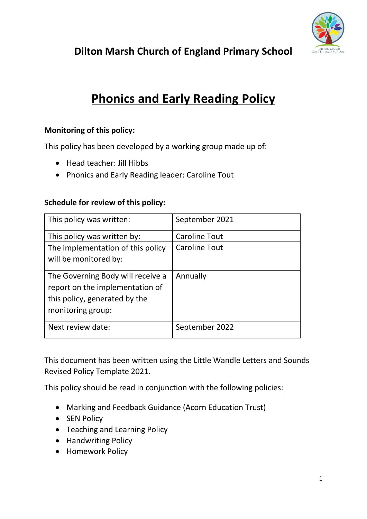

**Dilton Marsh Church of England Primary School**

# **Phonics and Early Reading Policy**

## **Monitoring of this policy:**

This policy has been developed by a working group made up of:

- Head teacher: Jill Hibbs
- Phonics and Early Reading leader: Caroline Tout

## **Schedule for review of this policy:**

| This policy was written:                                                                                                   | September 2021       |
|----------------------------------------------------------------------------------------------------------------------------|----------------------|
| This policy was written by:                                                                                                | <b>Caroline Tout</b> |
| The implementation of this policy<br>will be monitored by:                                                                 | <b>Caroline Tout</b> |
| The Governing Body will receive a<br>report on the implementation of<br>this policy, generated by the<br>monitoring group: | Annually             |
| Next review date:                                                                                                          | September 2022       |

This document has been written using the Little Wandle Letters and Sounds Revised Policy Template 2021.

This policy should be read in conjunction with the following policies:

- Marking and Feedback Guidance (Acorn Education Trust)
- SEN Policy
- Teaching and Learning Policy
- Handwriting Policy
- Homework Policy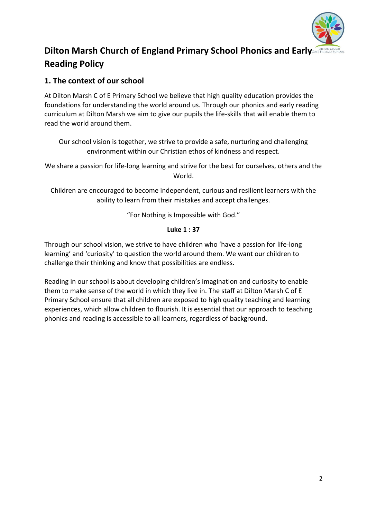

## **Dilton Marsh Church of England Primary School Phonics and Early of Reading Policy**

## **1. The context of our school**

At Dilton Marsh C of E Primary School we believe that high quality education provides the foundations for understanding the world around us. Through our phonics and early reading curriculum at Dilton Marsh we aim to give our pupils the life-skills that will enable them to read the world around them.

Our school vision is together, we strive to provide a safe, nurturing and challenging environment within our Christian ethos of kindness and respect.

We share a passion for life-long learning and strive for the best for ourselves, others and the World.

Children are encouraged to become independent, curious and resilient learners with the ability to learn from their mistakes and accept challenges.

"For Nothing is Impossible with God."

#### **Luke 1 : 37**

Through our school vision, we strive to have children who 'have a passion for life-long learning' and 'curiosity' to question the world around them. We want our children to challenge their thinking and know that possibilities are endless.

Reading in our school is about developing children's imagination and curiosity to enable them to make sense of the world in which they live in. The staff at Dilton Marsh C of E Primary School ensure that all children are exposed to high quality teaching and learning experiences, which allow children to flourish. It is essential that our approach to teaching phonics and reading is accessible to all learners, regardless of background.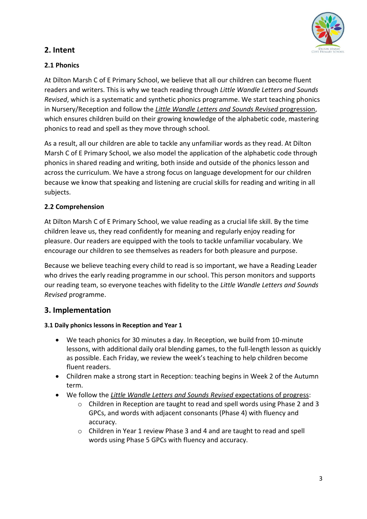

## **2. Intent**

## **2.1 Phonics**

At Dilton Marsh C of E Primary School, we believe that all our children can become fluent readers and writers. This is why we teach reading through *Little Wandle Letters and Sounds Revised*, which is a systematic and synthetic phonics programme. We start teaching phonics in Nursery/Reception and follow the *[Little Wandle Letters and Sounds Revised](https://www.littlewandlelettersandsounds.org.uk/wp-content/uploads/2021/06/Programme-Overview_Reception-and-Year-1.pdf)* progression, which ensures children build on their growing knowledge of the alphabetic code, mastering phonics to read and spell as they move through school.

As a result, all our children are able to tackle any unfamiliar words as they read. At Dilton Marsh C of E Primary School, we also model the application of the alphabetic code through phonics in shared reading and writing, both inside and outside of the phonics lesson and across the curriculum. We have a strong focus on language development for our children because we know that speaking and listening are crucial skills for reading and writing in all subjects.

## **2.2 Comprehension**

At Dilton Marsh C of E Primary School, we value reading as a crucial life skill. By the time children leave us, they read confidently for meaning and regularly enjoy reading for pleasure. Our readers are equipped with the tools to tackle unfamiliar vocabulary. We encourage our children to see themselves as readers for both pleasure and purpose.

Because we believe teaching every child to read is so important, we have a Reading Leader who drives the early reading programme in our school. This person monitors and supports our reading team, so everyone teaches with fidelity to the *Little Wandle Letters and Sounds Revised* programme.

## **3. Implementation**

#### **3.1 Daily phonics lessons in Reception and Year 1**

- We teach phonics for 30 minutes a day. In Reception, we build from 10-minute lessons, with additional daily oral blending games, to the full-length lesson as quickly as possible. Each Friday, we review the week's teaching to help children become fluent readers.
- Children make a strong start in Reception: teaching begins in Week 2 of the Autumn term.
- We follow the *[Little Wandle Letters and Sounds Revised](https://www.littlewandlelettersandsounds.org.uk/wp-content/uploads/2021/06/Programme-Overview_Reception-and-Year-1.pdf)* expectations of progress:
	- o Children in Reception are taught to read and spell words using Phase 2 and 3 GPCs, and words with adjacent consonants (Phase 4) with fluency and accuracy.
	- o Children in Year 1 review Phase 3 and 4 and are taught to read and spell words using Phase 5 GPCs with fluency and accuracy.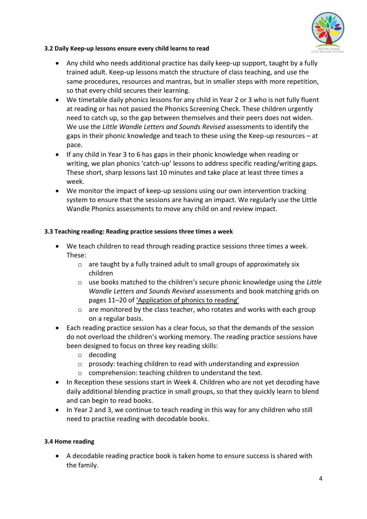

#### **3.2 Daily Keep-up lessons ensure every child learns to read**

- Any child who needs additional practice has daily keep-up support, taught by a fully trained adult. Keep-up lessons match the structure of class teaching, and use the same procedures, resources and mantras, but in smaller steps with more repetition, so that every child secures their learning.
- We timetable daily phonics lessons for any child in Year 2 or 3 who is not fully fluent at reading or has not passed the Phonics Screening Check. These children urgently need to catch up, so the gap between themselves and their peers does not widen. We use the *Little Wandle Letters and Sounds Revised* assessments to identify the gaps in their phonic knowledge and teach to these using the Keep-up resources – at pace.
- If any child in Year 3 to 6 has gaps in their phonic knowledge when reading or writing, we plan phonics 'catch-up' lessons to address specific reading/writing gaps. These short, sharp lessons last 10 minutes and take place at least three times a week.
- We monitor the impact of keep-up sessions using our own intervention tracking system to ensure that the sessions are having an impact. We regularly use the Little Wandle Phonics assessments to move any child on and review impact.

#### **3.3 Teaching reading: Reading practice sessions three times a week**

- We teach children to read through reading practice sessions three times a week. These:
	- o are taught by a fully trained adult to small groups of approximately six children
	- o use books matched to the children's secure phonic knowledge using the *Little Wandle Letters and Sounds Revised* assessments and book matching grids on pages 11–20 of ['Application of phonics to reading'](https://www.littlewandlelettersandsounds.org.uk/wp-content/uploads/2021/03/LS-KEY-GUIDANCE-APPLICATION-OF-PHONICS-FINAL-1.pdf)
	- $\circ$  are monitored by the class teacher, who rotates and works with each group on a regular basis.
- Each reading practice session has a clear focus, so that the demands of the session do not overload the children's working memory. The reading practice sessions have been designed to focus on three key reading skills:
	- o decoding
	- o prosody: teaching children to read with understanding and expression
	- o comprehension: teaching children to understand the text.
- In Reception these sessions start in Week 4. Children who are not yet decoding have daily additional blending practice in small groups, so that they quickly learn to blend and can begin to read books.
- In Year 2 and 3, we continue to teach reading in this way for any children who still need to practise reading with decodable books.

#### **3.4 Home reading**

• A decodable reading practice book is taken home to ensure success is shared with the family.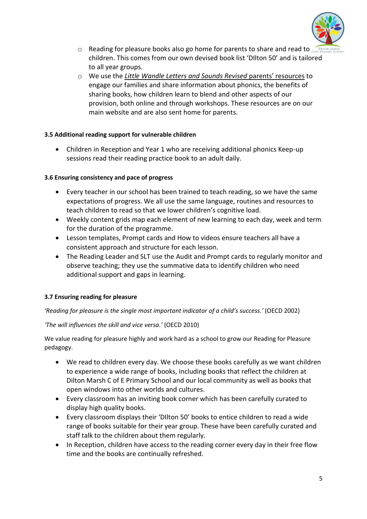

- $\circ$  Reading for pleasure books also go home for parents to share and read to  $\circ$ children. This comes from our own devised book list 'DIlton 50' and is tailored to all year groups.
- o We use the *[Little Wandle Letters and Sounds Revised](https://www.littlewandlelettersandsounds.org.uk/resources/for-parents/)* parents' resources to engage our families and share information about phonics, the benefits of sharing books, how children learn to blend and other aspects of our provision, both online and through workshops. These resources are on our main website and are also sent home for parents.

#### **3.5 Additional reading support for vulnerable children**

• Children in Reception and Year 1 who are receiving additional phonics Keep-up sessions read their reading practice book to an adult daily.

#### **3.6 Ensuring consistency and pace of progress**

- Every teacher in our school has been trained to teach reading, so we have the same expectations of progress. We all use the same language, routines and resources to teach children to read so that we lower children's cognitive load.
- Weekly content grids map each element of new learning to each day, week and term for the duration of the programme.
- Lesson templates, Prompt cards and How to videos ensure teachers all have a consistent approach and structure for each lesson.
- The Reading Leader and SLT use the Audit and Prompt cards to regularly monitor and observe teaching; they use the summative data to identify children who need additional support and gaps in learning.

## **3.7 Ensuring reading for pleasure**

*'Reading for pleasure is the single most important indicator of a child's success.'* (OECD 2002)

*'The will influences the skill and vice versa.'* (OECD 2010)

We value reading for pleasure highly and work hard as a school to grow our Reading for Pleasure pedagogy.

- We read to children every day. We choose these books carefully as we want children to experience a wide range of books, including books that reflect the children at Dilton Marsh C of E Primary School and our local community as well as books that open windows into other worlds and cultures.
- Every classroom has an inviting book corner which has been carefully curated to display high quality books.
- Every classroom displays their 'DIlton 50' books to entice children to read a wide range of books suitable for their year group. These have been carefully curated and staff talk to the children about them regularly.
- In Reception, children have access to the reading corner every day in their free flow time and the books are continually refreshed.